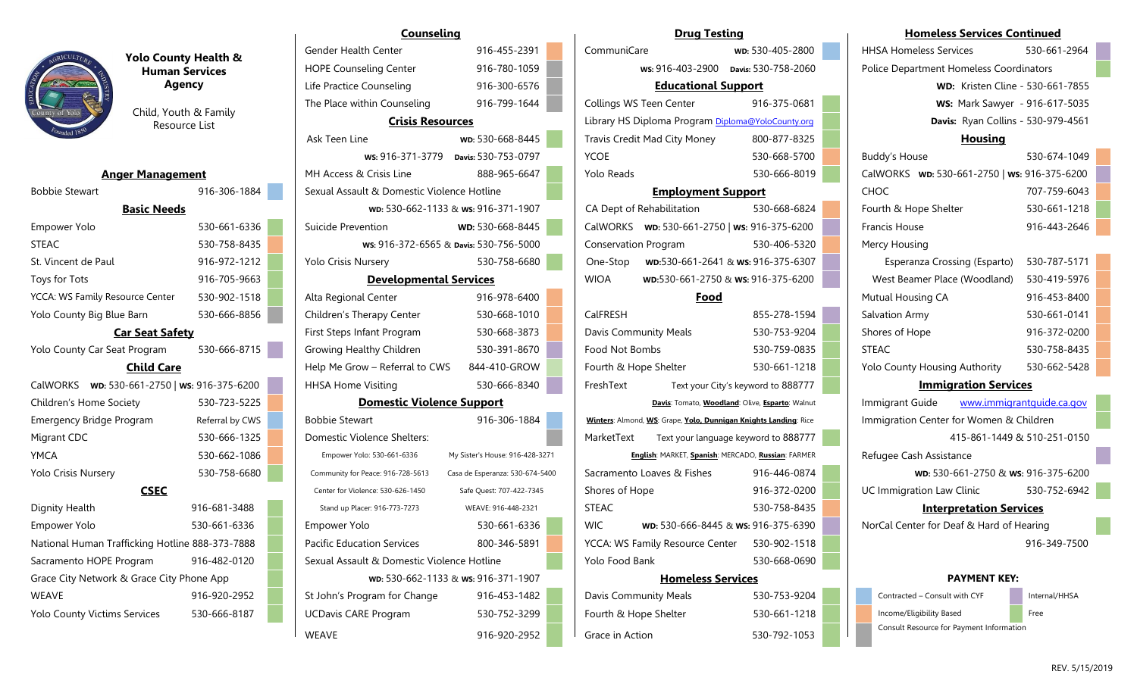

| <b>Anger Management</b>                         |                 |
|-------------------------------------------------|-----------------|
| <b>Bobbie Stewart</b>                           | 916-306-1884    |
| <b>Basic Needs</b>                              |                 |
| Empower Yolo                                    | 530-661-6336    |
| <b>STEAC</b>                                    | 530-758-8435    |
| St. Vincent de Paul                             | 916-972-1212    |
| Toys for Tots                                   | 916-705-9663    |
| YCCA: WS Family Resource Center                 | 530-902-1518    |
| Yolo County Big Blue Barn                       | 530-666-8856    |
| <b>Car Seat Safety</b>                          |                 |
| Yolo County Car Seat Program                    | 530-666-8715    |
| <b>Child Care</b>                               |                 |
| CalWORKS  wD: 530-661-2750   ws: 916-375-6200   |                 |
| Children's Home Society                         | 530-723-5225    |
| <b>Emergency Bridge Program</b>                 | Referral by CWS |
| Migrant CDC                                     | 530-666-1325    |
| YMCA                                            | 530-662-1086    |
| <b>Yolo Crisis Nursery</b>                      | 530-758-6680    |
| <b>CSEC</b>                                     |                 |
| Dignity Health                                  | 916-681-3488    |
| <b>Empower Yolo</b>                             | 530-661-6336    |
| National Human Trafficking Hotline 888-373-7888 |                 |
| Sacramento HOPE Program                         | 916-482-0120    |
| Grace City Network & Grace City Phone App       |                 |
|                                                 |                 |

|                                                 | <b>Human Services</b>                  | <b>HOPE Counseling Center</b>              | 916-780-1059                           |                   | ws: 916-403-2900 Davis: 530-758-2060                             |                                                 |
|-------------------------------------------------|----------------------------------------|--------------------------------------------|----------------------------------------|-------------------|------------------------------------------------------------------|-------------------------------------------------|
|                                                 | <b>Agency</b>                          | Life Practice Counseling                   | 916-300-6576                           |                   | <b>Educational Support</b>                                       |                                                 |
|                                                 |                                        | The Place within Counseling                | 916-799-1644                           |                   | Collings WS Teen Center                                          | 916-375-0681                                    |
| County of Yolo                                  | Child, Youth & Family<br>Resource List | <b>Crisis Resources</b>                    |                                        |                   | Library HS Diploma Program Diploma@YoloCounty.org                |                                                 |
|                                                 |                                        | Ask Teen Line                              | wp: 530-668-8445                       |                   | Travis Credit Mad City Money                                     | 800-877-8325                                    |
|                                                 |                                        |                                            | ws: 916-371-3779 Davis: 530-753-0797   | <b>YCOE</b>       |                                                                  | 530-668-5700                                    |
| <b>Anger Management</b>                         |                                        | MH Access & Crisis Line                    | 888-965-6647                           | <b>Yolo Reads</b> |                                                                  | 530-666-8019                                    |
| <b>Bobbie Stewart</b>                           | 916-306-1884                           | Sexual Assault & Domestic Violence Hotline |                                        |                   | <b>Employment Support</b>                                        |                                                 |
| <b>Basic Needs</b>                              |                                        |                                            | wp: 530-662-1133 & ws: 916-371-1907    |                   | CA Dept of Rehabilitation                                        | 530-668-6824                                    |
| Empower Yolo                                    | 530-661-6336                           | Suicide Prevention                         | WD: 530-668-8445                       |                   | CalWORKS  wp: 530-661-2750   ws: 916-375-6200                    |                                                 |
| <b>STEAC</b>                                    | 530-758-8435                           |                                            | ws: 916-372-6565 & Davis: 530-756-5000 |                   | <b>Conservation Program</b>                                      | 530-406-5320                                    |
| St. Vincent de Paul                             | 916-972-1212                           | Yolo Crisis Nursery                        | 530-758-6680                           | One-Stop          |                                                                  | WD:530-661-2641 & Ws: 916-375-6307              |
| Toys for Tots                                   | 916-705-9663                           | <b>Developmental Services</b>              |                                        | <b>WIOA</b>       | wp:530-661-2750 & ws: 916-375-6200                               |                                                 |
| YCCA: WS Family Resource Center                 | 530-902-1518                           | Alta Regional Center                       | 916-978-6400                           |                   | Food                                                             |                                                 |
| Yolo County Big Blue Barn                       | 530-666-8856                           | Children's Therapy Center                  | 530-668-1010                           | CalFRESH          |                                                                  | 855-278-1594                                    |
| <b>Car Seat Safety</b>                          |                                        | First Steps Infant Program                 | 530-668-3873                           |                   | <b>Davis Community Meals</b>                                     | 530-753-9204                                    |
| Yolo County Car Seat Program                    | 530-666-8715                           | Growing Healthy Children                   | 530-391-8670                           | Food Not Bombs    |                                                                  | 530-759-0835                                    |
| <b>Child Care</b>                               |                                        | Help Me Grow - Referral to CWS             | 844-410-GROW                           |                   | Fourth & Hope Shelter                                            | 530-661-1218                                    |
| CalWORKS  wp: 530-661-2750   ws: 916-375-6200   |                                        | <b>HHSA Home Visiting</b>                  | 530-666-8340                           | FreshText         |                                                                  | Text your City's keyword to 888777              |
| Children's Home Society                         | 530-723-5225                           | <b>Domestic Violence Support</b>           |                                        |                   |                                                                  | Davis: Tomato, Woodland: Olive, Esparto: Walnut |
| <b>Emergency Bridge Program</b>                 | Referral by CWS                        | <b>Bobbie Stewart</b>                      | 916-306-1884                           |                   | Winters: Almond, WS: Grape, Yolo, Dunnigan Knights Landing: Rice |                                                 |
| Migrant CDC                                     | 530-666-1325                           | Domestic Violence Shelters:                |                                        | MarketText        |                                                                  | Text your language keyword to 888777            |
| <b>YMCA</b>                                     | 530-662-1086                           | Empower Yolo: 530-661-6336                 | My Sister's House: 916-428-3271        |                   | English: MARKET, Spanish: MERCADO, Russian: FARMER               |                                                 |
| Yolo Crisis Nursery                             | 530-758-6680                           | Community for Peace: 916-728-5613          | Casa de Esperanza: 530-674-5400        |                   | Sacramento Loaves & Fishes                                       | 916-446-0874                                    |
| <b>CSEC</b>                                     |                                        | Center for Violence: 530-626-1450          | Safe Quest: 707-422-7345               | Shores of Hope    |                                                                  | 916-372-0200                                    |
| Dignity Health                                  | 916-681-3488                           | Stand up Placer: 916-773-7273              | WEAVE: 916-448-2321                    | <b>STEAC</b>      |                                                                  | 530-758-8435                                    |
| Empower Yolo                                    | 530-661-6336                           | Empower Yolo                               | 530-661-6336                           | <b>WIC</b>        | WD: 530-666-8445 & Ws: 916-375-6390                              |                                                 |
| National Human Trafficking Hotline 888-373-7888 |                                        | <b>Pacific Education Services</b>          | 800-346-5891                           |                   | YCCA: WS Family Resource Center                                  | 530-902-1518                                    |
| Sacramento HOPE Program                         | 916-482-0120                           | Sexual Assault & Domestic Violence Hotline |                                        | Yolo Food Bank    |                                                                  | 530-668-0690                                    |
| Grace City Network & Grace City Phone App       |                                        |                                            | wp: 530-662-1133 & ws: 916-371-1907    |                   | <b>Homeless Services</b>                                         |                                                 |
| <b>WEAVE</b>                                    | 916-920-2952                           | St John's Program for Change               | 916-453-1482                           |                   | Davis Community Meals                                            | 530-753-9204                                    |
| Yolo County Victims Services                    | 530-666-8187                           | <b>UCDavis CARE Program</b>                | 530-752-3299                           |                   | Fourth & Hope Shelter                                            | 530-661-1218                                    |
|                                                 |                                        | <b>WEAVE</b>                               | 916-920-2952                           | Grace in Action   |                                                                  | 530-792-1053                                    |

|                                                 |                                        | <b>Counseling</b>                          |                                        |                | <b>Drug Testing</b>             |                                                                  | <b>Homeless Services Continued</b>           |                                         |
|-------------------------------------------------|----------------------------------------|--------------------------------------------|----------------------------------------|----------------|---------------------------------|------------------------------------------------------------------|----------------------------------------------|-----------------------------------------|
|                                                 | <b>Yolo County Health &amp;</b>        | Gender Health Center                       | 916-455-2391                           | CommuniCare    |                                 | wd: 530-405-2800                                                 | <b>HHSA Homeless Services</b>                | 530-661-2964                            |
|                                                 | <b>Human Services</b>                  | <b>HOPE Counseling Center</b>              | 916-780-1059                           |                |                                 | ws: 916-403-2900 Davis: 530-758-2060                             | Police Department Homeless Coordinators      |                                         |
|                                                 | <b>Agency</b>                          | Life Practice Counseling                   | 916-300-6576                           |                | <b>Educational Support</b>      |                                                                  |                                              | <b>WD:</b> Kristen Cline - 530-661-7855 |
|                                                 |                                        | The Place within Counseling                | 916-799-1644                           |                | Collings WS Teen Center         | 916-375-0681                                                     |                                              | <b>WS: Mark Sawyer - 916-617-5035</b>   |
|                                                 | Child, Youth & Family<br>Resource List | <b>Crisis Resources</b>                    |                                        |                |                                 | Library HS Diploma Program Diploma@YoloCounty.org                | Davis: Ryan Collins - 530-979-4561           |                                         |
|                                                 |                                        | Ask Teen Line                              | wd: 530-668-8445                       |                | Travis Credit Mad City Money    | 800-877-8325                                                     | <b>Housing</b>                               |                                         |
|                                                 |                                        | ws: 916-371-3779                           | Davis: 530-753-0797                    | <b>YCOE</b>    |                                 | 530-668-5700                                                     | <b>Buddy's House</b>                         | 530-674-1049                            |
| <b>Anger Management</b>                         |                                        | MH Access & Crisis Line                    | 888-965-6647                           | Yolo Reads     |                                 | 530-666-8019                                                     | CalWORKS wD: 530-661-2750   ws: 916-375-6200 |                                         |
| <b>Bobbie Stewart</b>                           | 916-306-1884                           | Sexual Assault & Domestic Violence Hotline |                                        |                | <b>Employment Support</b>       |                                                                  | CHOC                                         | 707-759-6043                            |
| <b>Basic Needs</b>                              |                                        |                                            | wp: 530-662-1133 & ws: 916-371-1907    |                | CA Dept of Rehabilitation       | 530-668-6824                                                     | Fourth & Hope Shelter                        | 530-661-1218                            |
| Empower Yolo                                    | 530-661-6336                           | Suicide Prevention                         | WD: 530-668-8445                       |                |                                 | CalWORKS  wp: 530-661-2750   ws: 916-375-6200                    | Francis House                                | 916-443-2646                            |
| STEAC                                           | 530-758-8435                           |                                            | ws: 916-372-6565 & Davis: 530-756-5000 |                | <b>Conservation Program</b>     | 530-406-5320                                                     | Mercy Housing                                |                                         |
| St. Vincent de Paul                             | 916-972-1212                           | Yolo Crisis Nursery                        | 530-758-6680                           |                |                                 | One-Stop    wD:530-661-2641 & ws: 916-375-6307                   | Esperanza Crossing (Esparto)                 | 530-787-5171                            |
| Toys for Tots                                   | 916-705-9663                           | <b>Developmental Services</b>              |                                        | <b>WIOA</b>    |                                 | wp:530-661-2750 & ws: 916-375-6200                               | West Beamer Place (Woodland)                 | 530-419-5976                            |
| YCCA: WS Family Resource Center                 | 530-902-1518                           | Alta Regional Center                       | 916-978-6400                           |                | Food                            |                                                                  | Mutual Housing CA                            | 916-453-8400                            |
| Yolo County Big Blue Barn                       | 530-666-8856                           | Children's Therapy Center                  | 530-668-1010                           | CalFRESH       |                                 | 855-278-1594                                                     | Salvation Army                               | 530-661-0141                            |
| <b>Car Seat Safety</b>                          |                                        | First Steps Infant Program                 | 530-668-3873                           |                | Davis Community Meals           | 530-753-9204                                                     | Shores of Hope                               | 916-372-0200                            |
| Yolo County Car Seat Program                    | 530-666-8715                           | Growing Healthy Children                   | 530-391-8670                           | Food Not Bombs |                                 | 530-759-0835                                                     | STEAC                                        | 530-758-8435                            |
| <b>Child Care</b>                               |                                        | Help Me Grow - Referral to CWS             | 844-410-GROW                           |                | Fourth & Hope Shelter           | 530-661-1218                                                     | Yolo County Housing Authority                | 530-662-5428                            |
| CalWORKS   wp: 530-661-2750   ws: 916-375-6200  |                                        | <b>HHSA Home Visiting</b>                  | 530-666-8340                           | FreshText      |                                 | Text your City's keyword to 888777                               | <b>Immigration Services</b>                  |                                         |
| Children's Home Society                         | 530-723-5225                           | <b>Domestic Violence Support</b>           |                                        |                |                                 | Davis: Tomato, Woodland: Olive, Esparto: Walnut                  | Immigrant Guide                              | www.immigrantquide.ca.gov               |
| <b>Emergency Bridge Program</b>                 | Referral by CWS                        | <b>Bobbie Stewart</b>                      | 916-306-1884                           |                |                                 | Winters: Almond, WS: Grape, Yolo, Dunnigan Knights Landing: Rice | Immigration Center for Women & Children      |                                         |
| Migrant CDC                                     | 530-666-1325                           | Domestic Violence Shelters:                |                                        | MarketText     |                                 | Text your language keyword to 888777                             |                                              | 415-861-1449 & 510-251-0150             |
| YMCA                                            | 530-662-1086                           | Empower Yolo: 530-661-6336                 | My Sister's House: 916-428-3271        |                |                                 | English: MARKET, Spanish: MERCADO, Russian: FARMER               | Refugee Cash Assistance                      |                                         |
| <b>Yolo Crisis Nursery</b>                      | 530-758-6680                           | Community for Peace: 916-728-5613          | Casa de Esperanza: 530-674-5400        |                | Sacramento Loaves & Fishes      | 916-446-0874                                                     | wp: 530-661-2750 & ws: 916-375-6200          |                                         |
| <b>CSEC</b>                                     |                                        | Center for Violence: 530-626-1450          | Safe Quest: 707-422-7345               | Shores of Hope |                                 | 916-372-0200                                                     | UC Immigration Law Clinic                    | 530-752-6942                            |
| Dignity Health                                  | 916-681-3488                           | Stand up Placer: 916-773-7273              | WEAVE: 916-448-2321                    | <b>STEAC</b>   |                                 | 530-758-8435                                                     | <b>Interpretation Services</b>               |                                         |
| Empower Yolo                                    | 530-661-6336                           | Empower Yolo                               | 530-661-6336                           | <b>WIC</b>     |                                 | wd: 530-666-8445 & ws: 916-375-6390                              | NorCal Center for Deaf & Hard of Hearing     |                                         |
| National Human Trafficking Hotline 888-373-7888 |                                        | <b>Pacific Education Services</b>          | 800-346-5891                           |                | YCCA: WS Family Resource Center | 530-902-1518                                                     |                                              | 916-349-7500                            |
| Sacramento HOPE Program                         | 916-482-0120                           | Sexual Assault & Domestic Violence Hotline |                                        | Yolo Food Bank |                                 | 530-668-0690                                                     |                                              |                                         |
| Grace City Network & Grace City Phone App       |                                        |                                            | wd: 530-662-1133 & ws: 916-371-1907    |                | <b>Homeless Services</b>        |                                                                  | <b>PAYMENT KEY:</b>                          |                                         |
| WEAVE                                           | 916-920-2952                           | St John's Program for Change               | 916-453-1482                           |                | <b>Davis Community Meals</b>    | 530-753-9204                                                     | Contracted - Consult with CYF                | Internal/HHSA                           |
| <b>Yolo County Victims Services</b>             | 530-666-8187                           | <b>UCDavis CARE Program</b>                | 530-752-3299                           |                | Fourth & Hope Shelter           | 530-661-1218                                                     | Income/Eligibility Based                     | Free                                    |
|                                                 |                                        |                                            |                                        |                |                                 |                                                                  | Consult Resource for Payment Information     |                                         |

| Immigrant Guide www.immigrantquide.ca.gov |                                |                                     |
|-------------------------------------------|--------------------------------|-------------------------------------|
| Immigration Center for Women & Children   |                                |                                     |
|                                           |                                | 415-861-1449 & 510-251-0150         |
| Refugee Cash Assistance                   |                                |                                     |
|                                           |                                | wD: 530-661-2750 & ws: 916-375-6200 |
| <b>UC Immigration Law Clinic</b>          |                                | 530-752-6942                        |
|                                           | <b>Interpretation Services</b> |                                     |
| NorCal Center for Deaf & Hard of Hearing  |                                |                                     |
|                                           |                                |                                     |

| Contracted - Consult with CYF            | Internal |
|------------------------------------------|----------|
| Income/Eligibility Based                 | Free     |
| Consult Resource for Payment Information |          |